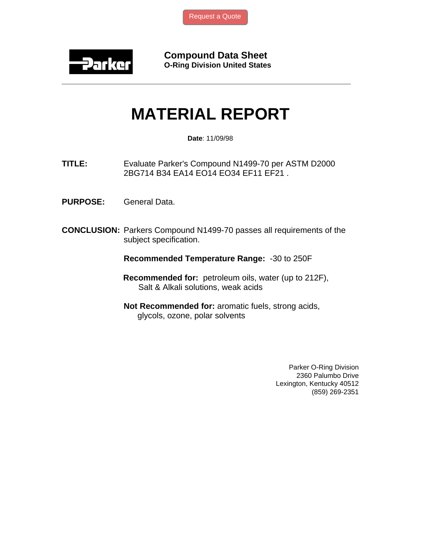

**Compound Data Sheet O-Ring Division United States** 

## **MATERIAL REPORT**

**\_\_\_\_\_\_\_\_\_\_\_\_\_\_\_\_\_\_\_\_\_\_\_\_\_\_\_\_\_\_\_\_\_\_\_\_\_\_\_\_\_\_\_\_\_\_\_\_\_\_\_\_\_\_\_\_\_\_\_\_\_\_\_** 

**Date**: 11/09/98

**TITLE:** Evaluate Parker's Compound N1499-70 per ASTM D2000 2BG714 B34 EA14 EO14 EO34 EF11 EF21 .

- **PURPOSE:** General Data.
- **CONCLUSION:** Parkers Compound N1499-70 passes all requirements of the subject specification.

**Recommended Temperature Range:** -30 to 250F

- **Recommended for:** petroleum oils, water (up to 212F), Salt & Alkali solutions, weak acids
- **Not Recommended for:** aromatic fuels, strong acids, glycols, ozone, polar solvents

Parker O-Ring Division 2360 Palumbo Drive Lexington, Kentucky 40512 (859) 269-2351